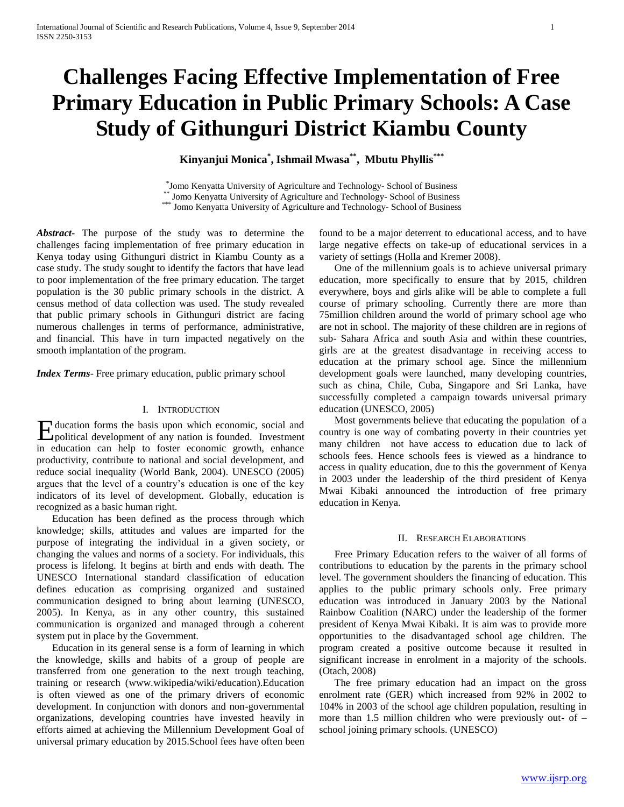# **Challenges Facing Effective Implementation of Free Primary Education in Public Primary Schools: A Case Study of Githunguri District Kiambu County**

**Kinyanjui Monica\* , Ishmail Mwasa\*\*, Mbutu Phyllis\*\*\***

\* Jomo Kenyatta University of Agriculture and Technology- School of Business \*\* Jomo Kenyatta University of Agriculture and Technology- School of Business \*\*\* Jomo Kenyatta University of Agriculture and Technology- School of Business

*Abstract***-** The purpose of the study was to determine the challenges facing implementation of free primary education in Kenya today using Githunguri district in Kiambu County as a case study. The study sought to identify the factors that have lead to poor implementation of the free primary education. The target population is the 30 public primary schools in the district. A census method of data collection was used. The study revealed that public primary schools in Githunguri district are facing numerous challenges in terms of performance, administrative, and financial. This have in turn impacted negatively on the smooth implantation of the program.

*Index Terms*- Free primary education, public primary school

## I. INTRODUCTION

ducation forms the basis upon which economic, social and Education forms the basis upon which economic, social and political development of any nation is founded. Investment in education can help to foster economic growth, enhance productivity, contribute to national and social development, and reduce social inequality (World Bank, 2004). UNESCO (2005) argues that the level of a country's education is one of the key indicators of its level of development. Globally, education is recognized as a basic human right.

 Education has been defined as the process through which knowledge; skills, attitudes and values are imparted for the purpose of integrating the individual in a given society, or changing the values and norms of a society. For individuals, this process is lifelong. It begins at birth and ends with death. The UNESCO International standard classification of education defines education as comprising organized and sustained communication designed to bring about learning (UNESCO, 2005). In Kenya, as in any other country, this sustained communication is organized and managed through a coherent system put in place by the Government.

 Education in its general sense is a form of learning in which the knowledge, skills and habits of a group of people are transferred from one generation to the next trough teaching, training or research (www.wikipedia/wiki/education).Education is often viewed as one of the primary drivers of economic development. In conjunction with donors and non-governmental organizations, developing countries have invested heavily in efforts aimed at achieving the Millennium Development Goal of universal primary education by 2015.School fees have often been

found to be a major deterrent to educational access, and to have large negative effects on take-up of educational services in a variety of settings (Holla and Kremer 2008).

 One of the millennium goals is to achieve universal primary education, more specifically to ensure that by 2015, children everywhere, boys and girls alike will be able to complete a full course of primary schooling. Currently there are more than 75million children around the world of primary school age who are not in school. The majority of these children are in regions of sub- Sahara Africa and south Asia and within these countries, girls are at the greatest disadvantage in receiving access to education at the primary school age. Since the millennium development goals were launched, many developing countries, such as china, Chile, Cuba, Singapore and Sri Lanka, have successfully completed a campaign towards universal primary education (UNESCO, 2005)

 Most governments believe that educating the population of a country is one way of combating poverty in their countries yet many children not have access to education due to lack of schools fees. Hence schools fees is viewed as a hindrance to access in quality education, due to this the government of Kenya in 2003 under the leadership of the third president of Kenya Mwai Kibaki announced the introduction of free primary education in Kenya.

#### II. RESEARCH ELABORATIONS

 Free Primary Education refers to the waiver of all forms of contributions to education by the parents in the primary school level. The government shoulders the financing of education. This applies to the public primary schools only. Free primary education was introduced in January 2003 by the National Rainbow Coalition (NARC) under the leadership of the former president of Kenya Mwai Kibaki. It is aim was to provide more opportunities to the disadvantaged school age children. The program created a positive outcome because it resulted in significant increase in enrolment in a majority of the schools. (Otach, 2008)

 The free primary education had an impact on the gross enrolment rate (GER) which increased from 92% in 2002 to 104% in 2003 of the school age children population, resulting in more than 1.5 million children who were previously out- of – school joining primary schools. (UNESCO)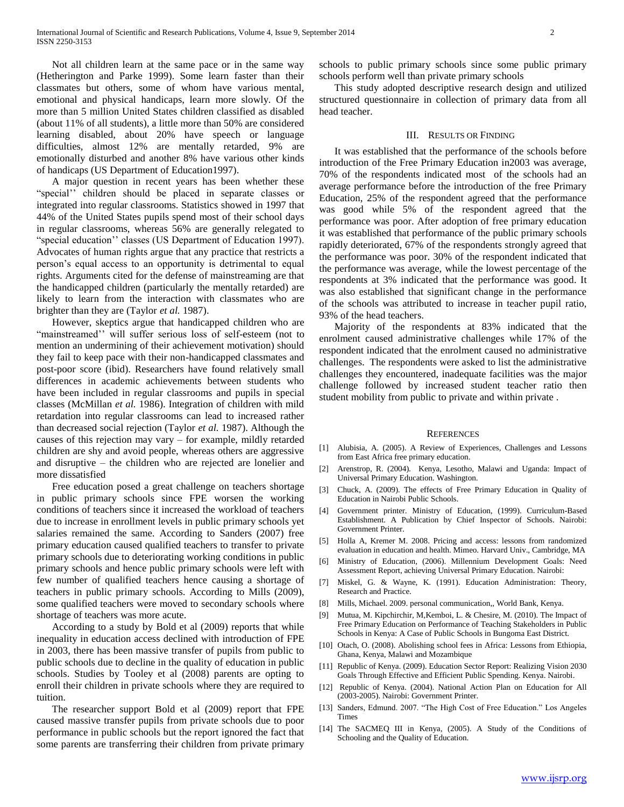Not all children learn at the same pace or in the same way (Hetherington and Parke 1999). Some learn faster than their classmates but others, some of whom have various mental, emotional and physical handicaps, learn more slowly. Of the more than 5 million United States children classified as disabled (about 11% of all students), a little more than 50% are considered learning disabled, about 20% have speech or language difficulties, almost 12% are mentally retarded, 9% are emotionally disturbed and another 8% have various other kinds of handicaps (US Department of Education1997).

 A major question in recent years has been whether these "special'' children should be placed in separate classes or integrated into regular classrooms. Statistics showed in 1997 that 44% of the United States pupils spend most of their school days in regular classrooms, whereas 56% are generally relegated to "special education'' classes (US Department of Education 1997). Advocates of human rights argue that any practice that restricts a person's equal access to an opportunity is detrimental to equal rights. Arguments cited for the defense of mainstreaming are that the handicapped children (particularly the mentally retarded) are likely to learn from the interaction with classmates who are brighter than they are (Taylor *et al.* 1987).

 However, skeptics argue that handicapped children who are "mainstreamed'' will suffer serious loss of self-esteem (not to mention an undermining of their achievement motivation) should they fail to keep pace with their non-handicapped classmates and post-poor score (ibid). Researchers have found relatively small differences in academic achievements between students who have been included in regular classrooms and pupils in special classes (McMillan *et al.* 1986). Integration of children with mild retardation into regular classrooms can lead to increased rather than decreased social rejection (Taylor *et al.* 1987). Although the causes of this rejection may vary – for example, mildly retarded children are shy and avoid people, whereas others are aggressive and disruptive – the children who are rejected are lonelier and more dissatisfied

 Free education posed a great challenge on teachers shortage in public primary schools since FPE worsen the working conditions of teachers since it increased the workload of teachers due to increase in enrollment levels in public primary schools yet salaries remained the same. According to Sanders (2007) free primary education caused qualified teachers to transfer to private primary schools due to deteriorating working conditions in public primary schools and hence public primary schools were left with few number of qualified teachers hence causing a shortage of teachers in public primary schools. According to Mills (2009), some qualified teachers were moved to secondary schools where shortage of teachers was more acute.

 According to a study by Bold et al (2009) reports that while inequality in education access declined with introduction of FPE in 2003, there has been massive transfer of pupils from public to public schools due to decline in the quality of education in public schools. Studies by Tooley et al (2008) parents are opting to enroll their children in private schools where they are required to tuition.

 The researcher support Bold et al (2009) report that FPE caused massive transfer pupils from private schools due to poor performance in public schools but the report ignored the fact that some parents are transferring their children from private primary schools to public primary schools since some public primary schools perform well than private primary schools

 This study adopted descriptive research design and utilized structured questionnaire in collection of primary data from all head teacher.

### III. RESULTS OR FINDING

 It was established that the performance of the schools before introduction of the Free Primary Education in2003 was average, 70% of the respondents indicated most of the schools had an average performance before the introduction of the free Primary Education, 25% of the respondent agreed that the performance was good while 5% of the respondent agreed that the performance was poor. After adoption of free primary education it was established that performance of the public primary schools rapidly deteriorated, 67% of the respondents strongly agreed that the performance was poor. 30% of the respondent indicated that the performance was average, while the lowest percentage of the respondents at 3% indicated that the performance was good. It was also established that significant change in the performance of the schools was attributed to increase in teacher pupil ratio, 93% of the head teachers.

 Majority of the respondents at 83% indicated that the enrolment caused administrative challenges while 17% of the respondent indicated that the enrolment caused no administrative challenges. The respondents were asked to list the administrative challenges they encountered, inadequate facilities was the major challenge followed by increased student teacher ratio then student mobility from public to private and within private .

#### **REFERENCES**

- [1] Alubisia, A. (2005). A Review of Experiences, Challenges and Lessons from East Africa free primary education.
- [2] Arenstrop, R. (2004). Kenya, Lesotho, Malawi and Uganda: Impact of Universal Primary Education. Washington.
- [3] Chuck, A. (2009). The effects of Free Primary Education in Quality of Education in Nairobi Public Schools.
- [4] Government printer. Ministry of Education, (1999). Curriculum-Based Establishment. A Publication by Chief Inspector of Schools. Nairobi: Government Printer.
- [5] Holla A, Kremer M. 2008. Pricing and access: lessons from randomized evaluation in education and health. Mimeo. Harvard Univ., Cambridge, MA
- [6] Ministry of Education, (2006). Millennium Development Goals: Need Assessment Report, achieving Universal Primary Education. Nairobi:
- [7] Miskel, G. & Wayne, K. (1991). Education Administration: Theory, Research and Practice.
- [8] Mills, Michael. 2009. personal communication,, World Bank, Kenya.
- [9] Mutua, M. Kipchirchir, M,Kemboi, L. & Chesire, M. (2010). The Impact of Free Primary Education on Performance of Teaching Stakeholders in Public Schools in Kenya: A Case of Public Schools in Bungoma East District.
- [10] Otach, O. (2008). Abolishing school fees in Africa: Lessons from Ethiopia, Ghana, Kenya, Malawi and Mozambique
- [11] Republic of Kenya. (2009). Education Sector Report: Realizing Vision 2030 Goals Through Effective and Efficient Public Spending. Kenya. Nairobi.
- [12] Republic of Kenya. (2004). National Action Plan on Education for All (2003-2005). Nairobi: Government Printer.
- [13] Sanders, Edmund. 2007. "The High Cost of Free Education." Los Angeles Times
- [14] The SACMEQ III in Kenya, (2005). A Study of the Conditions of Schooling and the Quality of Education.